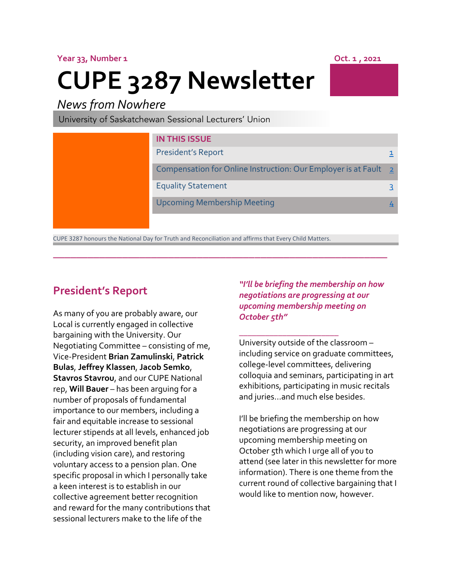**Year 33, Number 1 Oct. 1**, 2021

*News from Nowhere* 

# **CUPE 3287 Newsletter**

University of Saskatchewan Sessional Lecturers' Union

**IN THIS ISSUE**  President's Report 1996 and 2008 and 2008 and 2008 and 2008 and 2008 and 2008 and 2008 and 2008 and Compensation for Online Instruction: Our Employer is at Fault  $2$ Equality Statement 3 Upcoming Membership Meeting 4 and 4 and 4 4

CUPE 3287 honours the National Day for Truth and Reconciliation and affirms that Every Child Matters.

**\_\_\_\_\_\_\_\_\_\_\_\_\_\_\_\_\_\_\_\_\_\_\_\_\_\_\_\_\_\_\_\_\_\_\_\_\_\_\_\_\_\_\_\_\_\_\_\_\_\_\_\_\_\_\_\_\_\_**

# **President's Report**

As many of you are probably aware, our Local is currently engaged in collective bargaining with the University. Our Negotiating Committee – consisting of me, Vice-President **Brian Zamulinski**, **Patrick Bulas**, **Jeffrey Klassen**, **Jacob Semko**, **Stavros Stavrou**, and our CUPE National rep, **Will Bauer** – has been arguing for a number of proposals of fundamental importance to our members, including a fair and equitable increase to sessional lecturer stipends at all levels, enhanced job security, an improved benefit plan (including vision care), and restoring voluntary access to a pension plan. One specific proposal in which I personally take a keen interest is to establish in our collective agreement better recognition and reward for the many contributions that sessional lecturers make to the life of the

*"I'll be briefing the membership on how negotiations are progressing at our upcoming membership meeting on October 5th"* 

*\_\_\_\_\_\_\_\_\_\_\_\_\_\_\_\_\_\_\_\_\_\_\_* 

University outside of the classroom – including service on graduate committees, college-level committees, delivering colloquia and seminars, participating in art exhibitions, participating in music recitals and juries…and much else besides.

I'll be briefing the membership on how negotiations are progressing at our upcoming membership meeting on October 5th which I urge all of you to attend (see later in this newsletter for more information). There is one theme from the current round of collective bargaining that I would like to mention now, however.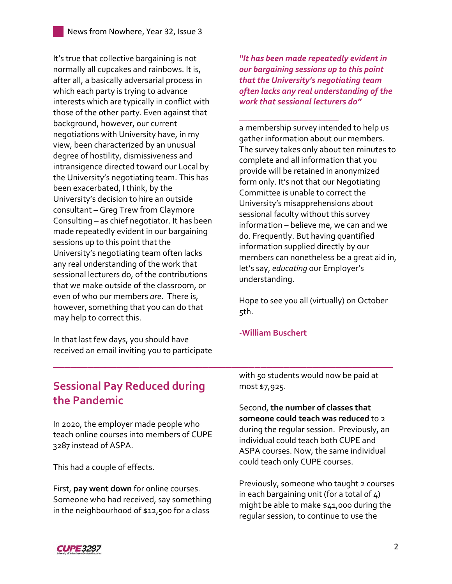It's true that collective bargaining is not normally all cupcakes and rainbows. It is, after all, a basically adversarial process in which each party is trying to advance interests which are typically in conflict with those of the other party. Even against that background, however, our current negotiations with University have, in my view, been characterized by an unusual degree of hostility, dismissiveness and intransigence directed toward our Local by the University's negotiating team. This has been exacerbated, I think, by the University's decision to hire an outside consultant – Greg Trew from Claymore Consulting – as chief negotiator. It has been made repeatedly evident in our bargaining sessions up to this point that the University's negotiating team often lacks any real understanding of the work that sessional lecturers do, of the contributions that we make outside of the classroom, or even of who our members *are*. There is, however, something that you can do that may help to correct this.

In that last few days, you should have received an email inviting you to participate *"It has been made repeatedly evident in our bargaining sessions up to this point that the University's negotiating team often lacks any real understanding of the work that sessional lecturers do"* 

*\_\_\_\_\_\_\_\_\_\_\_\_\_\_\_\_\_\_\_\_\_\_\_* 

a membership survey intended to help us gather information about our members. The survey takes only about ten minutes to complete and all information that you provide will be retained in anonymized form only. It's not that our Negotiating Committee is unable to correct the University's misapprehensions about sessional faculty without this survey information – believe me, we can and we do. Frequently. But having quantified information supplied directly by our members can nonetheless be a great aid in, let's say, *educating* our Employer's understanding.

Hope to see you all (virtually) on October 5th.

### **-William Buschert**

**\_\_\_\_\_\_\_\_\_\_\_\_\_\_\_\_\_\_\_\_\_\_\_\_\_\_\_\_\_\_\_\_\_\_\_\_\_\_\_\_\_\_\_\_\_\_\_\_\_\_\_\_\_\_\_\_\_\_\_** 

# **Sessional Pay Reduced during the Pandemic**

In 2020, the employer made people who teach online courses into members of CUPE 3287 instead of ASPA.

This had a couple of effects.

First, **pay went down** for online courses. Someone who had received, say something in the neighbourhood of \$12,500 for a class

with 50 students would now be paid at most \$7,925.

Second, **the number of classes that someone could teach was reduced** to 2 during the regular session. Previously, an individual could teach both CUPE and ASPA courses. Now, the same individual could teach only CUPE courses.

Previously, someone who taught 2 courses in each bargaining unit (for a total of  $4$ ) might be able to make \$41,000 during the regular session, to continue to use the

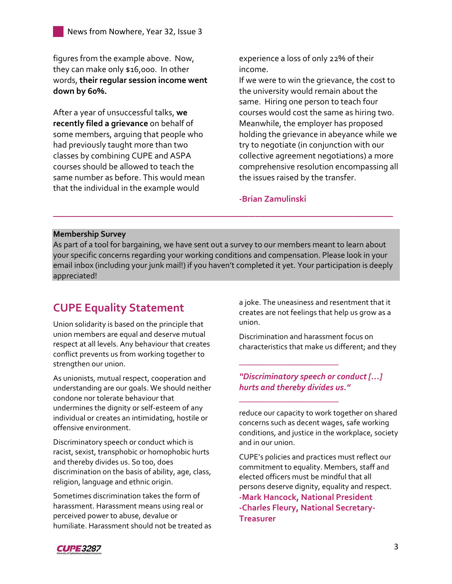figures from the example above. Now, they can make only \$16,000. In other words, **their regular session income went down by 60%.**

After a year of unsuccessful talks, **we recently filed a grievance** on behalf of some members, arguing that people who had previously taught more than two classes by combining CUPE and ASPA courses should be allowed to teach the same number as before. This would mean that the individual in the example would

experience a loss of only 22% of their income.

If we were to win the grievance, the cost to the university would remain about the same. Hiring one person to teach four courses would cost the same as hiring two. Meanwhile, the employer has proposed holding the grievance in abeyance while we try to negotiate (in conjunction with our collective agreement negotiations) a more comprehensive resolution encompassing all the issues raised by the transfer.

### **-Brian Zamulinski**

#### **Membership Survey**

As part of a tool for bargaining, we have sent out a survey to our members meant to learn about your specific concerns regarding your working conditions and compensation. Please look in your email inbox (including your junk mail!) if you haven't completed it yet. Your participation is deeply appreciated!

**\_\_\_\_\_\_\_\_\_\_\_\_\_\_\_\_\_\_\_\_\_\_\_\_\_\_\_\_\_\_\_\_\_\_\_\_\_\_\_\_\_\_\_\_\_\_\_\_\_\_\_\_\_\_\_\_\_\_\_** 

# **CUPE Equality Statement**

Union solidarity is based on the principle that union members are equal and deserve mutual respect at all levels. Any behaviour that creates conflict prevents us from working together to strengthen our union.

As unionists, mutual respect, cooperation and understanding are our goals. We should neither condone nor tolerate behaviour that undermines the dignity or self-esteem of any individual or creates an intimidating, hostile or offensive environment.

Discriminatory speech or conduct which is racist, sexist, transphobic or homophobic hurts and thereby divides us. So too, does discrimination on the basis of ability, age, class, religion, language and ethnic origin.

Sometimes discrimination takes the form of harassment. Harassment means using real or perceived power to abuse, devalue or humiliate. Harassment should not be treated as a joke. The uneasiness and resentment that it creates are not feelings that help us grow as a union.

Discrimination and harassment focus on characteristics that make us different; and they

### *"Discriminatory speech or conduct […] hurts and thereby divides us."*

*\_\_\_\_\_\_\_\_\_\_\_\_\_\_\_\_\_\_\_\_\_\_\_* 

*\_\_\_\_\_\_\_\_\_\_\_\_\_\_\_\_\_\_\_\_\_\_\_*

reduce our capacity to work together on shared concerns such as decent wages, safe working conditions, and justice in the workplace, society and in our union.

CUPE's policies and practices must reflect our commitment to equality. Members, staff and elected officers must be mindful that all persons deserve dignity, equality and respect. **-Mark Hancock, National President -Charles Fleury, National Secretary-Treasurer**

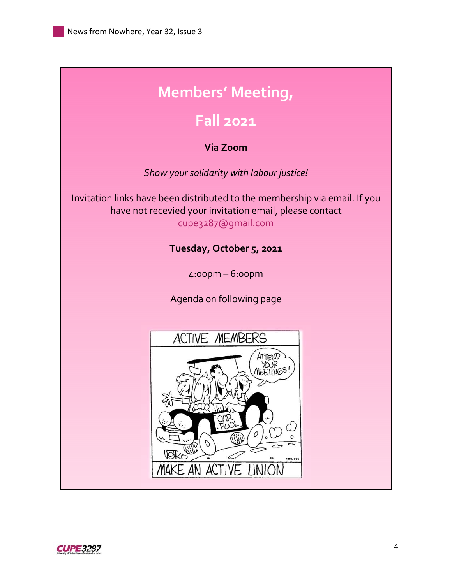# **Members' Meeting,**

# **Fall 2021**

### **Via Zoom**

*Show your solidarity with labour justice!* 

Invitation links have been distributed to the membership via email. If you have not recevied your invitation email, please contact cupe3287@gmail.com

# **Tuesday, October 5, 2021**

4:00pm – 6:00pm

Agenda on following page



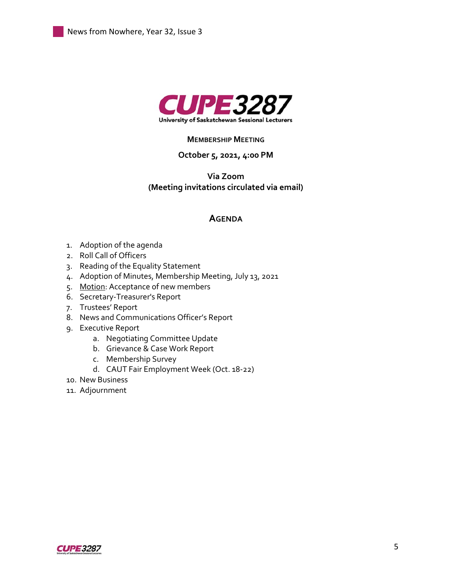

#### **MEMBERSHIP MEETING**

### **October 5, 2021, 4:00 PM**

### **Via Zoom (Meeting invitations circulated via email)**

### **AGENDA**

- 1. Adoption of the agenda
- 2. Roll Call of Officers
- 3. Reading of the Equality Statement
- 4. Adoption of Minutes, Membership Meeting, July 13, 2021
- 5. Motion: Acceptance of new members
- 6. Secretary-Treasurer's Report
- 7. Trustees' Report
- 8. News and Communications Officer's Report
- 9. Executive Report
	- a. Negotiating Committee Update
	- b. Grievance & Case Work Report
	- c. Membership Survey
	- d. CAUT Fair Employment Week (Oct. 18-22)
- 10. New Business
- 11. Adjournment